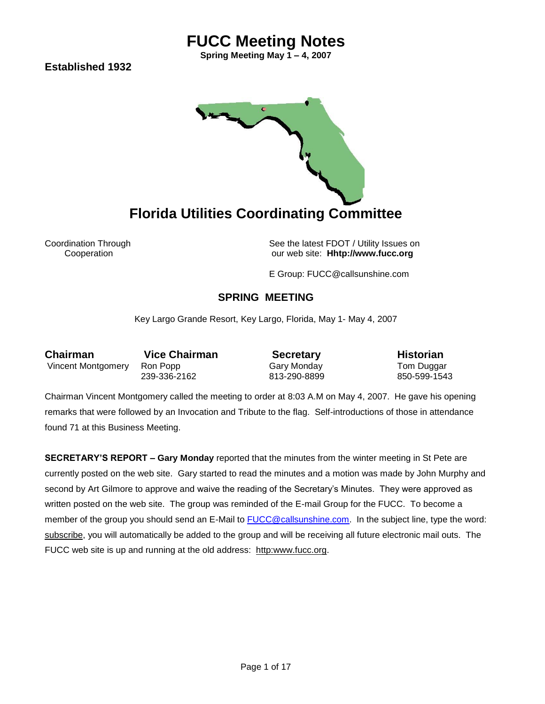**Spring Meeting May 1 – 4, 2007**

**Established 1932** 



Coordination Through See the latest FDOT / Utility Issues on Cooperation our web site: **Hhtp://www.fucc.org**

E Group: FUCC@callsunshine.com

### **SPRING MEETING**

Key Largo Grande Resort, Key Largo, Florida, May 1- May 4, 2007

**Chairman** Vice Chairman **Secretary** Historian Vincent Montgomery Ron Popp Cary Monday Tom Duggar<br>239-336-2162 613-290-8899 650-599-1543 239-336-2162

Chairman Vincent Montgomery called the meeting to order at 8:03 A.M on May 4, 2007. He gave his opening remarks that were followed by an Invocation and Tribute to the flag. Self-introductions of those in attendance found 71 at this Business Meeting.

**SECRETARY'S REPORT – Gary Monday** reported that the minutes from the winter meeting in St Pete are currently posted on the web site. Gary started to read the minutes and a motion was made by John Murphy and second by Art Gilmore to approve and waive the reading of the Secretary's Minutes. They were approved as written posted on the web site. The group was reminded of the E-mail Group for the FUCC. To become a member of the group you should send an E-Mail to [FUCC@callsunshine.com.](mailto:FUCC@callsunshine.com) In the subject line, type the word: subscribe, you will automatically be added to the group and will be receiving all future electronic mail outs. The FUCC web site is up and running at the old address: http:www.fucc.org.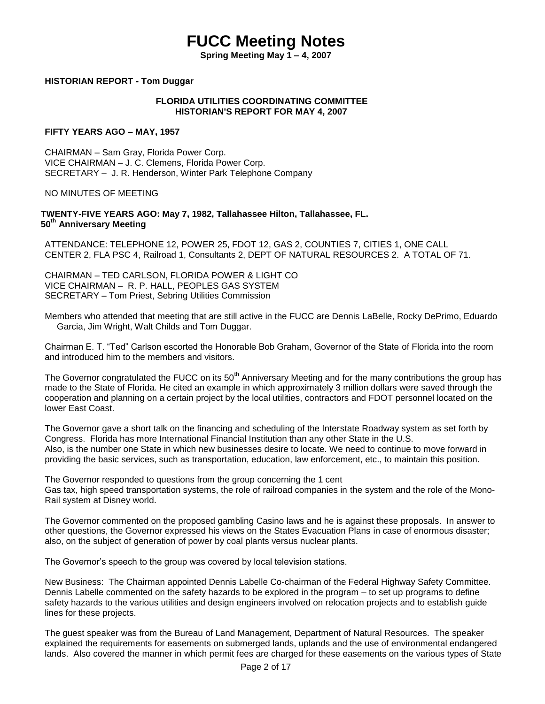**Spring Meeting May 1 – 4, 2007**

#### **HISTORIAN REPORT - Tom Duggar**

#### **FLORIDA UTILITIES COORDINATING COMMITTEE HISTORIAN'S REPORT FOR MAY 4, 2007**

#### **FIFTY YEARS AGO – MAY, 1957**

CHAIRMAN – Sam Gray, Florida Power Corp. VICE CHAIRMAN – J. C. Clemens, Florida Power Corp. SECRETARY – J. R. Henderson, Winter Park Telephone Company

#### NO MINUTES OF MEETING

#### **TWENTY-FIVE YEARS AGO: May 7, 1982, Tallahassee Hilton, Tallahassee, FL. 50th Anniversary Meeting**

ATTENDANCE: TELEPHONE 12, POWER 25, FDOT 12, GAS 2, COUNTIES 7, CITIES 1, ONE CALL CENTER 2, FLA PSC 4, Railroad 1, Consultants 2, DEPT OF NATURAL RESOURCES 2. A TOTAL OF 71.

CHAIRMAN – TED CARLSON, FLORIDA POWER & LIGHT CO VICE CHAIRMAN – R. P. HALL, PEOPLES GAS SYSTEM SECRETARY – Tom Priest, Sebring Utilities Commission

Members who attended that meeting that are still active in the FUCC are Dennis LaBelle, Rocky DePrimo, Eduardo Garcia, Jim Wright, Walt Childs and Tom Duggar.

Chairman E. T. "Ted" Carlson escorted the Honorable Bob Graham, Governor of the State of Florida into the room and introduced him to the members and visitors.

The Governor congratulated the FUCC on its  $50<sup>th</sup>$  Anniversary Meeting and for the many contributions the group has made to the State of Florida. He cited an example in which approximately 3 million dollars were saved through the cooperation and planning on a certain project by the local utilities, contractors and FDOT personnel located on the lower East Coast.

The Governor gave a short talk on the financing and scheduling of the Interstate Roadway system as set forth by Congress. Florida has more International Financial Institution than any other State in the U.S. Also, is the number one State in which new businesses desire to locate. We need to continue to move forward in providing the basic services, such as transportation, education, law enforcement, etc., to maintain this position.

The Governor responded to questions from the group concerning the 1 cent Gas tax, high speed transportation systems, the role of railroad companies in the system and the role of the Mono-Rail system at Disney world.

The Governor commented on the proposed gambling Casino laws and he is against these proposals. In answer to other questions, the Governor expressed his views on the States Evacuation Plans in case of enormous disaster; also, on the subject of generation of power by coal plants versus nuclear plants.

The Governor's speech to the group was covered by local television stations.

New Business: The Chairman appointed Dennis Labelle Co-chairman of the Federal Highway Safety Committee. Dennis Labelle commented on the safety hazards to be explored in the program – to set up programs to define safety hazards to the various utilities and design engineers involved on relocation projects and to establish guide lines for these projects.

The guest speaker was from the Bureau of Land Management, Department of Natural Resources. The speaker explained the requirements for easements on submerged lands, uplands and the use of environmental endangered lands. Also covered the manner in which permit fees are charged for these easements on the various types of State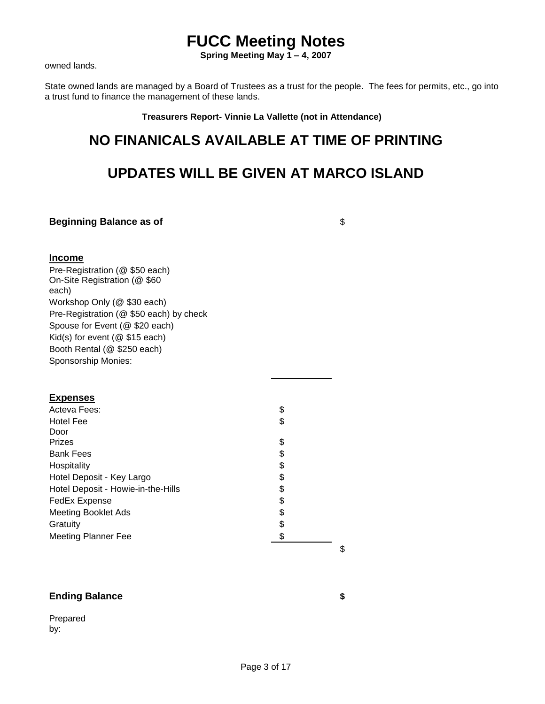**Spring Meeting May 1 – 4, 2007**

owned lands.

State owned lands are managed by a Board of Trustees as a trust for the people. The fees for permits, etc., go into a trust fund to finance the management of these lands.

**Treasurers Report- Vinnie La Vallette (not in Attendance)**

### **NO FINANICALS AVAILABLE AT TIME OF PRINTING**

### **UPDATES WILL BE GIVEN AT MARCO ISLAND**

**Beginning Balance as of**   $\sqrt{s}$ 

#### **Income**

Pre-Registration (@ \$50 each) On-Site Registration (@ \$60 each) Workshop Only (@ \$30 each) Pre-Registration (@ \$50 each) by check Spouse for Event (@ \$20 each) Kid(s) for event (@ \$15 each) Booth Rental (@ \$250 each) Sponsorship Monies:

#### **Expenses**

| Acteva Fees:                       | \$ |
|------------------------------------|----|
| Hotel Fee                          | \$ |
| Door                               |    |
| <b>Prizes</b>                      | \$ |
| <b>Bank Fees</b>                   | \$ |
| Hospitality                        | \$ |
| Hotel Deposit - Key Largo          | \$ |
| Hotel Deposit - Howie-in-the-Hills | \$ |
| <b>FedEx Expense</b>               | \$ |
| <b>Meeting Booklet Ads</b>         | \$ |
| Gratuity                           | \$ |
| <b>Meeting Planner Fee</b>         | \$ |

#### \$

### **Ending Balance \$**

Prepared by: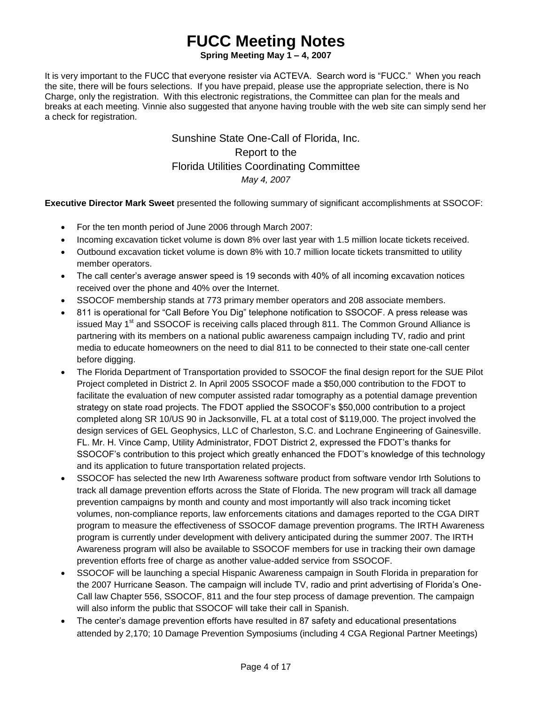**Spring Meeting May 1 – 4, 2007**

It is very important to the FUCC that everyone resister via ACTEVA. Search word is "FUCC." When you reach the site, there will be fours selections. If you have prepaid, please use the appropriate selection, there is No Charge, only the registration. With this electronic registrations, the Committee can plan for the meals and breaks at each meeting. Vinnie also suggested that anyone having trouble with the web site can simply send her a check for registration.

> Sunshine State One-Call of Florida, Inc. Report to the Florida Utilities Coordinating Committee *May 4, 2007*

**Executive Director Mark Sweet** presented the following summary of significant accomplishments at SSOCOF:

- For the ten month period of June 2006 through March 2007:
- Incoming excavation ticket volume is down 8% over last year with 1.5 million locate tickets received.
- Outbound excavation ticket volume is down 8% with 10.7 million locate tickets transmitted to utility member operators.
- The call center's average answer speed is 19 seconds with 40% of all incoming excavation notices received over the phone and 40% over the Internet.
- SSOCOF membership stands at 773 primary member operators and 208 associate members.
- 811 is operational for "Call Before You Dig" telephone notification to SSOCOF. A press release was issued May  $1<sup>st</sup>$  and SSOCOF is receiving calls placed through 811. The Common Ground Alliance is partnering with its members on a national public awareness campaign including TV, radio and print media to educate homeowners on the need to dial 811 to be connected to their state one-call center before digging.
- The Florida Department of Transportation provided to SSOCOF the final design report for the SUE Pilot Project completed in District 2. In April 2005 SSOCOF made a \$50,000 contribution to the FDOT to facilitate the evaluation of new computer assisted radar tomography as a potential damage prevention strategy on state road projects. The FDOT applied the SSOCOF's \$50,000 contribution to a project completed along SR 10/US 90 in Jacksonville, FL at a total cost of \$119,000. The project involved the design services of GEL Geophysics, LLC of Charleston, S.C. and Lochrane Engineering of Gainesville. FL. Mr. H. Vince Camp, Utility Administrator, FDOT District 2, expressed the FDOT's thanks for SSOCOF's contribution to this project which greatly enhanced the FDOT's knowledge of this technology and its application to future transportation related projects.
- SSOCOF has selected the new Irth Awareness software product from software vendor Irth Solutions to track all damage prevention efforts across the State of Florida. The new program will track all damage prevention campaigns by month and county and most importantly will also track incoming ticket volumes, non-compliance reports, law enforcements citations and damages reported to the CGA DIRT program to measure the effectiveness of SSOCOF damage prevention programs. The IRTH Awareness program is currently under development with delivery anticipated during the summer 2007. The IRTH Awareness program will also be available to SSOCOF members for use in tracking their own damage prevention efforts free of charge as another value-added service from SSOCOF.
- SSOCOF will be launching a special Hispanic Awareness campaign in South Florida in preparation for the 2007 Hurricane Season. The campaign will include TV, radio and print advertising of Florida's One-Call law Chapter 556, SSOCOF, 811 and the four step process of damage prevention. The campaign will also inform the public that SSOCOF will take their call in Spanish.
- The center's damage prevention efforts have resulted in 87 safety and educational presentations attended by 2,170; 10 Damage Prevention Symposiums (including 4 CGA Regional Partner Meetings)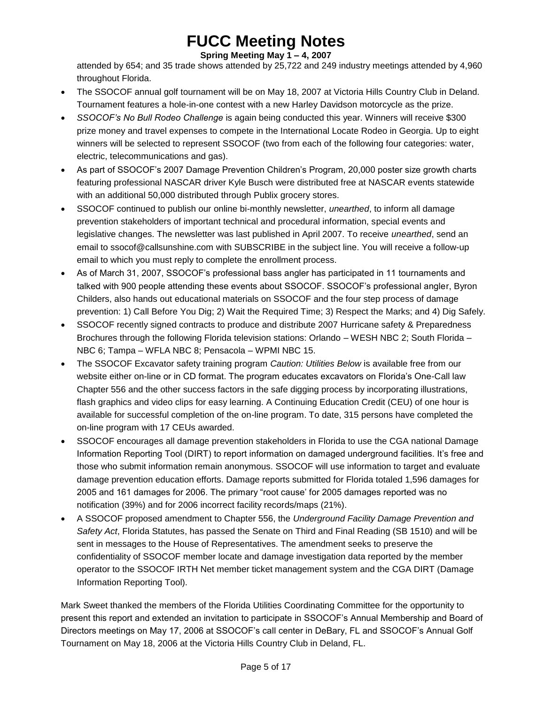**Spring Meeting May 1 – 4, 2007**

attended by 654; and 35 trade shows attended by 25,722 and 249 industry meetings attended by 4,960 throughout Florida.

- The SSOCOF annual golf tournament will be on May 18, 2007 at Victoria Hills Country Club in Deland. Tournament features a hole-in-one contest with a new Harley Davidson motorcycle as the prize.
- *SSOCOF's No Bull Rodeo Challenge* is again being conducted this year. Winners will receive \$300 prize money and travel expenses to compete in the International Locate Rodeo in Georgia. Up to eight winners will be selected to represent SSOCOF (two from each of the following four categories: water, electric, telecommunications and gas).
- As part of SSOCOF's 2007 Damage Prevention Children's Program, 20,000 poster size growth charts featuring professional NASCAR driver Kyle Busch were distributed free at NASCAR events statewide with an additional 50,000 distributed through Publix grocery stores.
- SSOCOF continued to publish our online bi-monthly newsletter, *unearthed*, to inform all damage prevention stakeholders of important technical and procedural information, special events and legislative changes. The newsletter was last published in April 2007. To receive *unearthed*, send an email to [ssocof@callsunshine.com](mailto:ssocof@callsunshine.com) with SUBSCRIBE in the subject line. You will receive a follow-up email to which you must reply to complete the enrollment process.
- As of March 31, 2007, SSOCOF's professional bass angler has participated in 11 tournaments and talked with 900 people attending these events about SSOCOF. SSOCOF's professional angler, Byron Childers, also hands out educational materials on SSOCOF and the four step process of damage prevention: 1) Call Before You Dig; 2) Wait the Required Time; 3) Respect the Marks; and 4) Dig Safely.
- SSOCOF recently signed contracts to produce and distribute 2007 Hurricane safety & Preparedness Brochures through the following Florida television stations: Orlando – WESH NBC 2; South Florida – NBC 6; Tampa – WFLA NBC 8; Pensacola – WPMI NBC 15.
- The SSOCOF Excavator safety training program *Caution: Utilities Below* is available free from our website either on-line or in CD format. The program educates excavators on Florida's One-Call law Chapter 556 and the other success factors in the safe digging process by incorporating illustrations, flash graphics and video clips for easy learning. A Continuing Education Credit (CEU) of one hour is available for successful completion of the on-line program. To date, 315 persons have completed the on-line program with 17 CEUs awarded.
- SSOCOF encourages all damage prevention stakeholders in Florida to use the CGA national Damage Information Reporting Tool (DIRT) to report information on damaged underground facilities. It's free and those who submit information remain anonymous. SSOCOF will use information to target and evaluate damage prevention education efforts. Damage reports submitted for Florida totaled 1,596 damages for 2005 and 161 damages for 2006. The primary "root cause' for 2005 damages reported was no notification (39%) and for 2006 incorrect facility records/maps (21%).
- A SSOCOF proposed amendment to Chapter 556, the *Underground Facility Damage Prevention and Safety Act*, Florida Statutes, has passed the Senate on Third and Final Reading (SB 1510) and will be sent in messages to the House of Representatives. The amendment seeks to preserve the confidentiality of SSOCOF member locate and damage investigation data reported by the member operator to the SSOCOF IRTH Net member ticket management system and the CGA DIRT (Damage Information Reporting Tool).

Mark Sweet thanked the members of the Florida Utilities Coordinating Committee for the opportunity to present this report and extended an invitation to participate in SSOCOF's Annual Membership and Board of Directors meetings on May 17, 2006 at SSOCOF's call center in DeBary, FL and SSOCOF's Annual Golf Tournament on May 18, 2006 at the Victoria Hills Country Club in Deland, FL.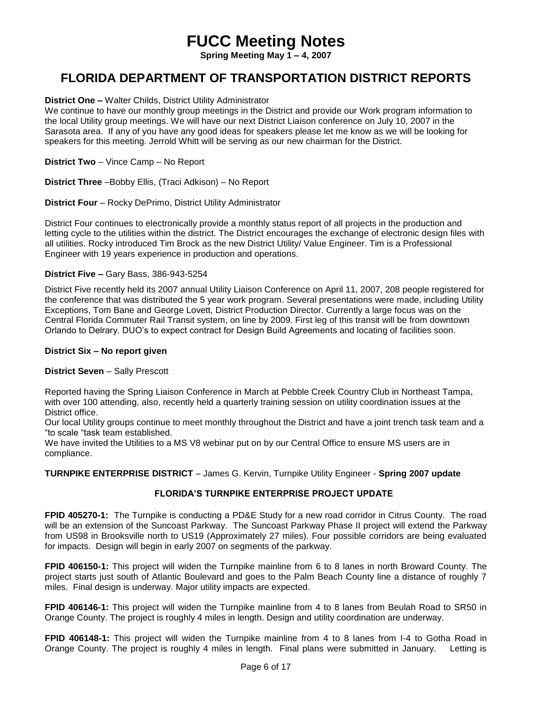**Spring Meeting May 1 – 4, 2007**

### **FLORIDA DEPARTMENT OF TRANSPORTATION DISTRICT REPORTS**

#### **District One –** Walter Childs, District Utility Administrator

We continue to have our monthly group meetings in the District and provide our Work program information to the local Utility group meetings. We will have our next District Liaison conference on July 10, 2007 in the Sarasota area. If any of you have any good ideas for speakers please let me know as we will be looking for speakers for this meeting. Jerrold Whitt will be serving as our new chairman for the District.

**District Two** – Vince Camp – No Report

**District Three** –Bobby Ellis, (Traci Adkison) – No Report

**District Four** – Rocky DePrimo, District Utility Administrator

District Four continues to electronically provide a monthly status report of all projects in the production and letting cycle to the utilities within the district. The District encourages the exchange of electronic design files with all utilities. Rocky introduced Tim Brock as the new District Utility/ Value Engineer. Tim is a Professional Engineer with 19 years experience in production and operations.

#### **District Five –** Gary Bass, 386-943-5254

District Five recently held its 2007 annual Utility Liaison Conference on April 11, 2007, 208 people registered for the conference that was distributed the 5 year work program. Several presentations were made, including Utility Exceptions, Tom Bane and George Lovett, District Production Director. Currently a large focus was on the Central Florida Commuter Rail Transit system, on line by 2009. First leg of this transit will be from downtown Orlando to Delrary. DUO's to expect contract for Design Build Agreements and locating of facilities soon.

#### **District Six – No report given**

#### **District Seven** – Sally Prescott

Reported having the Spring Liaison Conference in March at Pebble Creek Country Club in Northeast Tampa, with over 100 attending, also, recently held a quarterly training session on utility coordination issues at the District office.

Our local Utility groups continue to meet monthly throughout the District and have a joint trench task team and a "to scale "task team established.

We have invited the Utilities to a MS V8 webinar put on by our Central Office to ensure MS users are in compliance.

**TURNPIKE ENTERPRISE DISTRICT** – James G. Kervin, Turnpike Utility Engineer - **Spring 2007 update**

#### **FLORIDA'S TURNPIKE ENTERPRISE PROJECT UPDATE**

**FPID 405270-1:** The Turnpike is conducting a PD&E Study for a new road corridor in Citrus County. The road will be an extension of the Suncoast Parkway. The Suncoast Parkway Phase II project will extend the Parkway from US98 in Brooksville north to US19 (Approximately 27 miles). Four possible corridors are being evaluated for impacts. Design will begin in early 2007 on segments of the parkway.

**FPID 406150-1:** This project will widen the Turnpike mainline from 6 to 8 lanes in north Broward County. The project starts just south of Atlantic Boulevard and goes to the Palm Beach County line a distance of roughly 7 miles. Final design is underway. Major utility impacts are expected.

**FPID 406146-1:** This project will widen the Turnpike mainline from 4 to 8 lanes from Beulah Road to SR50 in Orange County. The project is roughly 4 miles in length. Design and utility coordination are underway.

**FPID 406148-1:** This project will widen the Turnpike mainline from 4 to 8 lanes from I-4 to Gotha Road in Orange County. The project is roughly 4 miles in length. Final plans were submitted in January. Letting is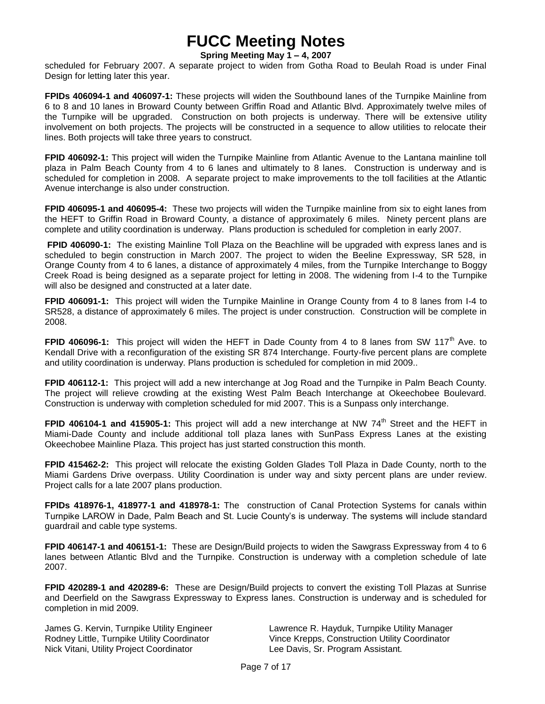#### **Spring Meeting May 1 – 4, 2007**

scheduled for February 2007. A separate project to widen from Gotha Road to Beulah Road is under Final Design for letting later this year.

**FPIDs 406094-1 and 406097-1:** These projects will widen the Southbound lanes of the Turnpike Mainline from 6 to 8 and 10 lanes in Broward County between Griffin Road and Atlantic Blvd. Approximately twelve miles of the Turnpike will be upgraded. Construction on both projects is underway. There will be extensive utility involvement on both projects. The projects will be constructed in a sequence to allow utilities to relocate their lines. Both projects will take three years to construct.

**FPID 406092-1:** This project will widen the Turnpike Mainline from Atlantic Avenue to the Lantana mainline toll plaza in Palm Beach County from 4 to 6 lanes and ultimately to 8 lanes. Construction is underway and is scheduled for completion in 2008. A separate project to make improvements to the toll facilities at the Atlantic Avenue interchange is also under construction.

**FPID 406095-1 and 406095-4:** These two projects will widen the Turnpike mainline from six to eight lanes from the HEFT to Griffin Road in Broward County, a distance of approximately 6 miles. Ninety percent plans are complete and utility coordination is underway. Plans production is scheduled for completion in early 2007.

**FPID 406090-1:** The existing Mainline Toll Plaza on the Beachline will be upgraded with express lanes and is scheduled to begin construction in March 2007. The project to widen the Beeline Expressway, SR 528, in Orange County from 4 to 6 lanes, a distance of approximately 4 miles, from the Turnpike Interchange to Boggy Creek Road is being designed as a separate project for letting in 2008. The widening from I-4 to the Turnpike will also be designed and constructed at a later date.

**FPID 406091-1:** This project will widen the Turnpike Mainline in Orange County from 4 to 8 lanes from I-4 to SR528, a distance of approximately 6 miles. The project is under construction. Construction will be complete in 2008.

**FPID 406096-1:** This project will widen the HEFT in Dade County from 4 to 8 lanes from SW 117<sup>th</sup> Ave. to Kendall Drive with a reconfiguration of the existing SR 874 Interchange. Fourty-five percent plans are complete and utility coordination is underway. Plans production is scheduled for completion in mid 2009..

**FPID 406112-1:** This project will add a new interchange at Jog Road and the Turnpike in Palm Beach County. The project will relieve crowding at the existing West Palm Beach Interchange at Okeechobee Boulevard. Construction is underway with completion scheduled for mid 2007. This is a Sunpass only interchange.

**FPID 406104-1 and 415905-1:** This project will add a new interchange at NW 74<sup>th</sup> Street and the HEFT in Miami-Dade County and include additional toll plaza lanes with SunPass Express Lanes at the existing Okeechobee Mainline Plaza. This project has just started construction this month.

**FPID 415462-2:** This project will relocate the existing Golden Glades Toll Plaza in Dade County, north to the Miami Gardens Drive overpass. Utility Coordination is under way and sixty percent plans are under review. Project calls for a late 2007 plans production.

**FPIDs 418976-1, 418977-1 and 418978-1:** The construction of Canal Protection Systems for canals within Turnpike LAROW in Dade, Palm Beach and St. Lucie County's is underway. The systems will include standard guardrail and cable type systems.

**FPID 406147-1 and 406151-1:** These are Design/Build projects to widen the Sawgrass Expressway from 4 to 6 lanes between Atlantic Blvd and the Turnpike. Construction is underway with a completion schedule of late 2007.

**FPID 420289-1 and 420289-6:** These are Design/Build projects to convert the existing Toll Plazas at Sunrise and Deerfield on the Sawgrass Expressway to Express lanes. Construction is underway and is scheduled for completion in mid 2009.

Nick Vitani, Utility Project Coordinator Lee Davis, Sr. Program Assistant*.*

James G. Kervin, Turnpike Utility Engineer Lawrence R. Hayduk, Turnpike Utility Manager Rodney Little, Turnpike Utility Coordinator Vince Krepps, Construction Utility Coordinator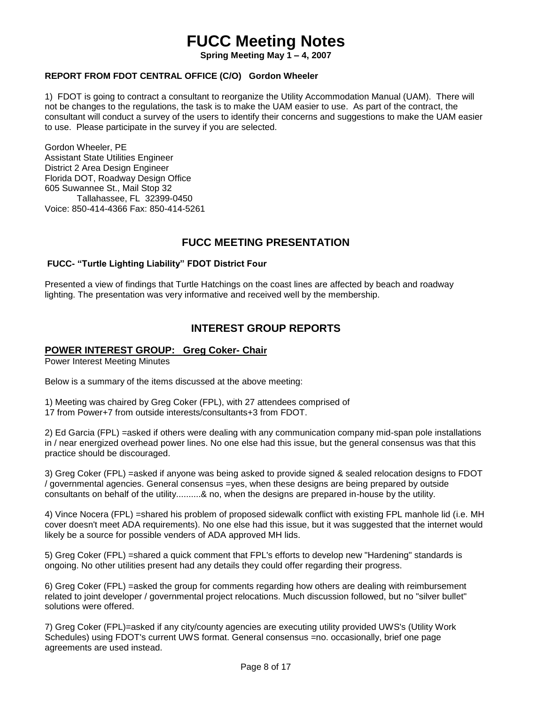**Spring Meeting May 1 – 4, 2007**

#### **REPORT FROM FDOT CENTRAL OFFICE (C/O) Gordon Wheeler**

1) FDOT is going to contract a consultant to reorganize the Utility Accommodation Manual (UAM). There will not be changes to the regulations, the task is to make the UAM easier to use. As part of the contract, the consultant will conduct a survey of the users to identify their concerns and suggestions to make the UAM easier to use. Please participate in the survey if you are selected.

Gordon Wheeler, PE Assistant State Utilities Engineer District 2 Area Design Engineer Florida DOT, Roadway Design Office 605 Suwannee St., Mail Stop 32 Tallahassee, FL 32399-0450 Voice: 850-414-4366 Fax: 850-414-5261

### **FUCC MEETING PRESENTATION**

#### **FUCC- "Turtle Lighting Liability" FDOT District Four**

Presented a view of findings that Turtle Hatchings on the coast lines are affected by beach and roadway lighting. The presentation was very informative and received well by the membership.

### **INTEREST GROUP REPORTS**

#### **POWER INTEREST GROUP: Greg Coker- Chair**

Power Interest Meeting Minutes

Below is a summary of the items discussed at the above meeting:

1) Meeting was chaired by Greg Coker (FPL), with 27 attendees comprised of 17 from Power+7 from outside interests/consultants+3 from FDOT.

2) Ed Garcia (FPL) =asked if others were dealing with any communication company mid-span pole installations in / near energized overhead power lines. No one else had this issue, but the general consensus was that this practice should be discouraged.

3) Greg Coker (FPL) =asked if anyone was being asked to provide signed & sealed relocation designs to FDOT / governmental agencies. General consensus =yes, when these designs are being prepared by outside consultants on behalf of the utility..........& no, when the designs are prepared in-house by the utility.

4) Vince Nocera (FPL) =shared his problem of proposed sidewalk conflict with existing FPL manhole lid (i.e. MH cover doesn't meet ADA requirements). No one else had this issue, but it was suggested that the internet would likely be a source for possible venders of ADA approved MH lids.

5) Greg Coker (FPL) =shared a quick comment that FPL's efforts to develop new "Hardening" standards is ongoing. No other utilities present had any details they could offer regarding their progress.

6) Greg Coker (FPL) =asked the group for comments regarding how others are dealing with reimbursement related to joint developer / governmental project relocations. Much discussion followed, but no "silver bullet" solutions were offered.

7) Greg Coker (FPL)=asked if any city/county agencies are executing utility provided UWS's (Utility Work Schedules) using FDOT's current UWS format. General consensus =no. occasionally, brief one page agreements are used instead.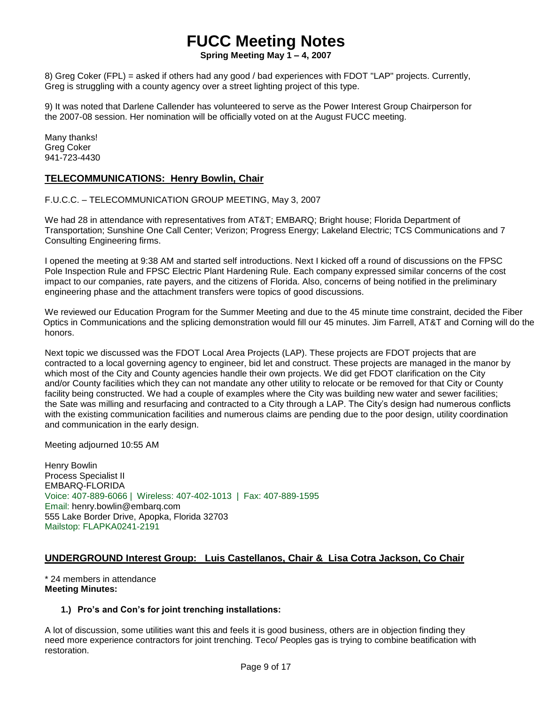**Spring Meeting May 1 – 4, 2007**

8) Greg Coker (FPL) = asked if others had any good / bad experiences with FDOT "LAP" projects. Currently, Greg is struggling with a county agency over a street lighting project of this type.

9) It was noted that Darlene Callender has volunteered to serve as the Power Interest Group Chairperson for the 2007-08 session. Her nomination will be officially voted on at the August FUCC meeting.

Many thanks! Greg Coker 941-723-4430

### **TELECOMMUNICATIONS: Henry Bowlin, Chair**

F.U.C.C. – TELECOMMUNICATION GROUP MEETING, May 3, 2007

We had 28 in attendance with representatives from AT&T; EMBARQ; Bright house; Florida Department of Transportation; Sunshine One Call Center; Verizon; Progress Energy; Lakeland Electric; TCS Communications and 7 Consulting Engineering firms.

I opened the meeting at 9:38 AM and started self introductions. Next I kicked off a round of discussions on the FPSC Pole Inspection Rule and FPSC Electric Plant Hardening Rule. Each company expressed similar concerns of the cost impact to our companies, rate payers, and the citizens of Florida. Also, concerns of being notified in the preliminary engineering phase and the attachment transfers were topics of good discussions.

We reviewed our Education Program for the Summer Meeting and due to the 45 minute time constraint, decided the Fiber Optics in Communications and the splicing demonstration would fill our 45 minutes. Jim Farrell, AT&T and Corning will do the honors.

Next topic we discussed was the FDOT Local Area Projects (LAP). These projects are FDOT projects that are contracted to a local governing agency to engineer, bid let and construct. These projects are managed in the manor by which most of the City and County agencies handle their own projects. We did get FDOT clarification on the City and/or County facilities which they can not mandate any other utility to relocate or be removed for that City or County facility being constructed. We had a couple of examples where the City was building new water and sewer facilities; the Sate was milling and resurfacing and contracted to a City through a LAP. The City's design had numerous conflicts with the existing communication facilities and numerous claims are pending due to the poor design, utility coordination and communication in the early design.

Meeting adjourned 10:55 AM

Henry Bowlin Process Specialist II EMBARQ-FLORIDA Voice: 407-889-6066 | Wireless: 407-402-1013 | Fax: 407-889-1595 Email: henry.bowlin@embarq.com 555 Lake Border Drive, Apopka, Florida 32703 Mailstop: FLAPKA0241-2191

#### **UNDERGROUND Interest Group: Luis Castellanos, Chair & Lisa Cotra Jackson, Co Chair**

\* 24 members in attendance **Meeting Minutes:**

#### **1.) Pro's and Con's for joint trenching installations:**

A lot of discussion, some utilities want this and feels it is good business, others are in objection finding they need more experience contractors for joint trenching. Teco/ Peoples gas is trying to combine beatification with restoration.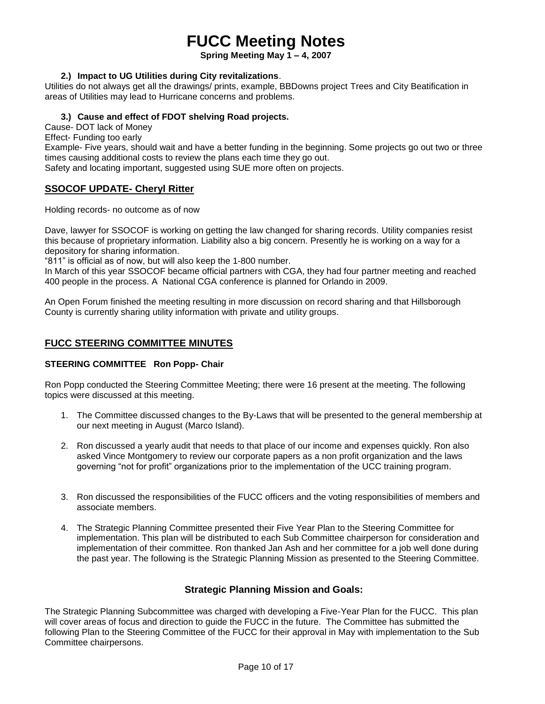**Spring Meeting May 1 – 4, 2007**

#### **2.) Impact to UG Utilities during City revitalizations**.

Utilities do not always get all the drawings/ prints, example, BBDowns project Trees and City Beatification in areas of Utilities may lead to Hurricane concerns and problems.

### **3.) Cause and effect of FDOT shelving Road projects.**

Cause- DOT lack of Money

Effect- Funding too early

Example- Five years, should wait and have a better funding in the beginning. Some projects go out two or three times causing additional costs to review the plans each time they go out.

Safety and locating important, suggested using SUE more often on projects.

#### **SSOCOF UPDATE- Cheryl Ritter**

Holding records- no outcome as of now

Dave, lawyer for SSOCOF is working on getting the law changed for sharing records. Utility companies resist this because of proprietary information. Liability also a big concern. Presently he is working on a way for a depository for sharing information.

"811" is official as of now, but will also keep the 1-800 number.

In March of this year SSOCOF became official partners with CGA, they had four partner meeting and reached 400 people in the process. A National CGA conference is planned for Orlando in 2009.

An Open Forum finished the meeting resulting in more discussion on record sharing and that Hillsborough County is currently sharing utility information with private and utility groups.

#### **FUCC STEERING COMMITTEE MINUTES**

#### **STEERING COMMITTEE Ron Popp- Chair**

Ron Popp conducted the Steering Committee Meeting; there were 16 present at the meeting. The following topics were discussed at this meeting.

- 1. The Committee discussed changes to the By-Laws that will be presented to the general membership at our next meeting in August (Marco Island).
- 2. Ron discussed a yearly audit that needs to that place of our income and expenses quickly. Ron also asked Vince Montgomery to review our corporate papers as a non profit organization and the laws governing "not for profit" organizations prior to the implementation of the UCC training program.
- 3. Ron discussed the responsibilities of the FUCC officers and the voting responsibilities of members and associate members.
- 4. The Strategic Planning Committee presented their Five Year Plan to the Steering Committee for implementation. This plan will be distributed to each Sub Committee chairperson for consideration and implementation of their committee. Ron thanked Jan Ash and her committee for a job well done during the past year. The following is the Strategic Planning Mission as presented to the Steering Committee.

#### **Strategic Planning Mission and Goals:**

The Strategic Planning Subcommittee was charged with developing a Five-Year Plan for the FUCC. This plan will cover areas of focus and direction to guide the FUCC in the future. The Committee has submitted the following Plan to the Steering Committee of the FUCC for their approval in May with implementation to the Sub Committee chairpersons.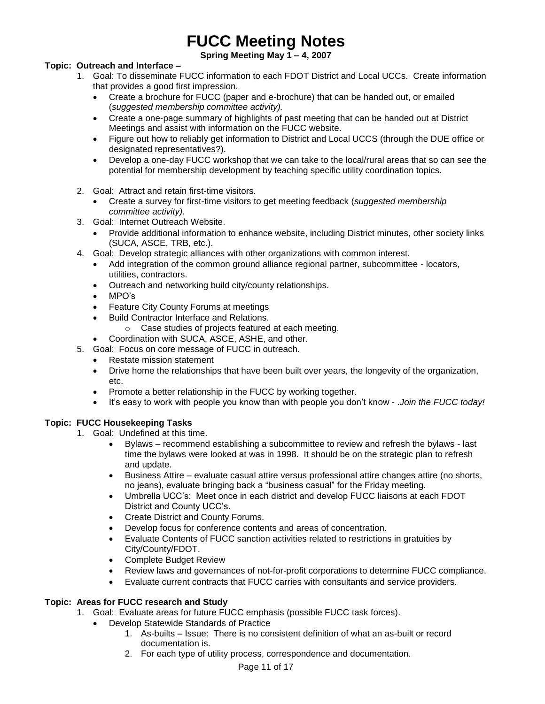**Spring Meeting May 1 – 4, 2007**

#### **Topic: Outreach and Interface –**

- 1. Goal: To disseminate FUCC information to each FDOT District and Local UCCs. Create information that provides a good first impression.
	- Create a brochure for FUCC (paper and e-brochure) that can be handed out, or emailed (*suggested membership committee activity).*
	- Create a one-page summary of highlights of past meeting that can be handed out at District Meetings and assist with information on the FUCC website.
	- Figure out how to reliably get information to District and Local UCCS (through the DUE office or designated representatives?).
	- Develop a one-day FUCC workshop that we can take to the local/rural areas that so can see the potential for membership development by teaching specific utility coordination topics.
- 2. Goal: Attract and retain first-time visitors.
	- Create a survey for first-time visitors to get meeting feedback (*suggested membership committee activity).*
- 3. Goal: Internet Outreach Website.
	- Provide additional information to enhance website, including District minutes, other society links (SUCA, ASCE, TRB, etc.).
- 4. Goal: Develop strategic alliances with other organizations with common interest.
	- Add integration of the common ground alliance regional partner, subcommittee locators, utilities, contractors.
	- Outreach and networking build city/county relationships.
	- MPO's
	- Feature City County Forums at meetings
	- Build Contractor Interface and Relations.
		- o Case studies of projects featured at each meeting.
	- Coordination with SUCA, ASCE, ASHE, and other.
- 5. Goal: Focus on core message of FUCC in outreach.
	- Restate mission statement
	- Drive home the relationships that have been built over years, the longevity of the organization, etc.
	- Promote a better relationship in the FUCC by working together.
	- It's easy to work with people you know than with people you don't know .*Join the FUCC today!*

#### **Topic: FUCC Housekeeping Tasks**

- 1. Goal: Undefined at this time.
	- Bylaws recommend establishing a subcommittee to review and refresh the bylaws last time the bylaws were looked at was in 1998. It should be on the strategic plan to refresh and update.
	- Business Attire evaluate casual attire versus professional attire changes attire (no shorts, no jeans), evaluate bringing back a "business casual" for the Friday meeting.
	- Umbrella UCC's: Meet once in each district and develop FUCC liaisons at each FDOT District and County UCC's.
	- Create District and County Forums.
	- Develop focus for conference contents and areas of concentration.
	- Evaluate Contents of FUCC sanction activities related to restrictions in gratuities by City/County/FDOT.
	- Complete Budget Review
	- Review laws and governances of not-for-profit corporations to determine FUCC compliance.
	- Evaluate current contracts that FUCC carries with consultants and service providers.

#### **Topic: Areas for FUCC research and Study**

- 1. Goal: Evaluate areas for future FUCC emphasis (possible FUCC task forces).
	- Develop Statewide Standards of Practice
		- 1. As-builts Issue: There is no consistent definition of what an as-built or record documentation is.
		- 2. For each type of utility process, correspondence and documentation.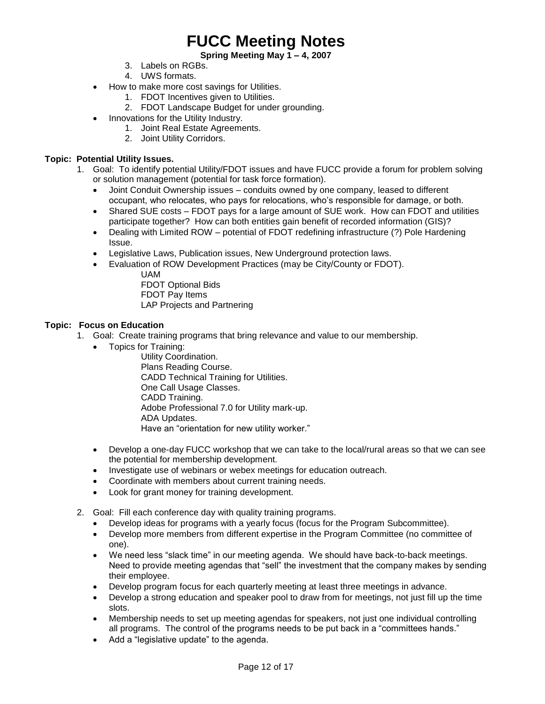#### **Spring Meeting May 1 – 4, 2007**

- 3. Labels on RGBs.
- 4. UWS formats.
- How to make more cost savings for Utilities.
	- 1. FDOT Incentives given to Utilities.
	- 2. FDOT Landscape Budget for under grounding.
- Innovations for the Utility Industry.
	- 1. Joint Real Estate Agreements.
	- 2. Joint Utility Corridors.

#### **Topic: Potential Utility Issues.**

- 1. Goal: To identify potential Utility/FDOT issues and have FUCC provide a forum for problem solving or solution management (potential for task force formation).
	- Joint Conduit Ownership issues conduits owned by one company, leased to different occupant, who relocates, who pays for relocations, who's responsible for damage, or both.
	- Shared SUE costs FDOT pays for a large amount of SUE work. How can FDOT and utilities participate together? How can both entities gain benefit of recorded information (GIS)?
	- Dealing with Limited ROW potential of FDOT redefining infrastructure (?) Pole Hardening Issue.
	- Legislative Laws, Publication issues, New Underground protection laws.
	- Evaluation of ROW Development Practices (may be City/County or FDOT).
		- UAM FDOT Optional Bids FDOT Pay Items LAP Projects and Partnering

#### **Topic: Focus on Education**

- 1. Goal: Create training programs that bring relevance and value to our membership.
	- Topics for Training:

Utility Coordination. Plans Reading Course. CADD Technical Training for Utilities. One Call Usage Classes. CADD Training. Adobe Professional 7.0 for Utility mark-up. ADA Updates. Have an "orientation for new utility worker."

- Develop a one-day FUCC workshop that we can take to the local/rural areas so that we can see the potential for membership development.
- Investigate use of webinars or webex meetings for education outreach.
- Coordinate with members about current training needs.
- Look for grant money for training development.
- 2. Goal: Fill each conference day with quality training programs.
	- Develop ideas for programs with a yearly focus (focus for the Program Subcommittee).
	- Develop more members from different expertise in the Program Committee (no committee of one).
	- We need less "slack time" in our meeting agenda. We should have back-to-back meetings. Need to provide meeting agendas that "sell" the investment that the company makes by sending their employee.
	- Develop program focus for each quarterly meeting at least three meetings in advance.
	- Develop a strong education and speaker pool to draw from for meetings, not just fill up the time slots.
	- Membership needs to set up meeting agendas for speakers, not just one individual controlling all programs. The control of the programs needs to be put back in a "committees hands."
	- Add a "legislative update" to the agenda.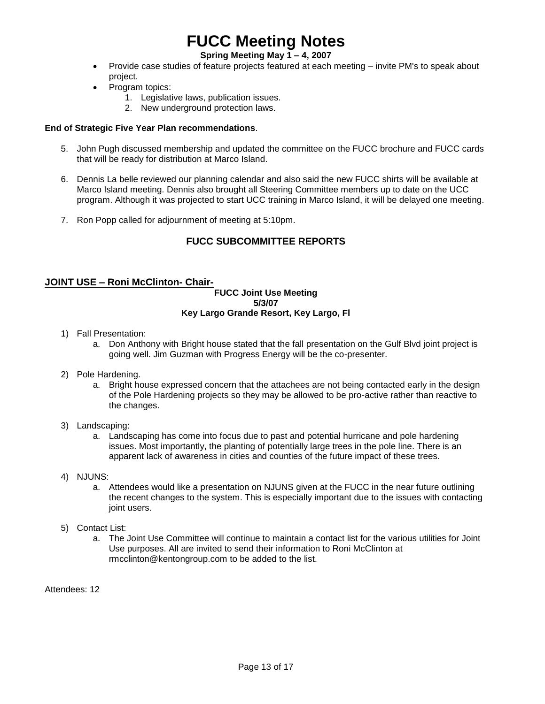### **Spring Meeting May 1 – 4, 2007**

- Provide case studies of feature projects featured at each meeting invite PM's to speak about project.
- Program topics:
	- 1. Legislative laws, publication issues.
	- 2. New underground protection laws.

#### **End of Strategic Five Year Plan recommendations**.

- 5. John Pugh discussed membership and updated the committee on the FUCC brochure and FUCC cards that will be ready for distribution at Marco Island.
- 6. Dennis La belle reviewed our planning calendar and also said the new FUCC shirts will be available at Marco Island meeting. Dennis also brought all Steering Committee members up to date on the UCC program. Although it was projected to start UCC training in Marco Island, it will be delayed one meeting.
- 7. Ron Popp called for adjournment of meeting at 5:10pm.

### **FUCC SUBCOMMITTEE REPORTS**

#### **JOINT USE – Roni McClinton- Chair-**

#### **FUCC Joint Use Meeting 5/3/07 Key Largo Grande Resort, Key Largo, Fl**

- 1) Fall Presentation:
	- a. Don Anthony with Bright house stated that the fall presentation on the Gulf Blvd joint project is going well. Jim Guzman with Progress Energy will be the co-presenter.
- 2) Pole Hardening.
	- a. Bright house expressed concern that the attachees are not being contacted early in the design of the Pole Hardening projects so they may be allowed to be pro-active rather than reactive to the changes.
- 3) Landscaping:
	- a. Landscaping has come into focus due to past and potential hurricane and pole hardening issues. Most importantly, the planting of potentially large trees in the pole line. There is an apparent lack of awareness in cities and counties of the future impact of these trees.
- 4) NJUNS:
	- a. Attendees would like a presentation on NJUNS given at the FUCC in the near future outlining the recent changes to the system. This is especially important due to the issues with contacting joint users.
- 5) Contact List:
	- a. The Joint Use Committee will continue to maintain a contact list for the various utilities for Joint Use purposes. All are invited to send their information to Roni McClinton at [rmcclinton@kentongroup.com](mailto:rmcclinton@kentongroup.com) to be added to the list.

Attendees: 12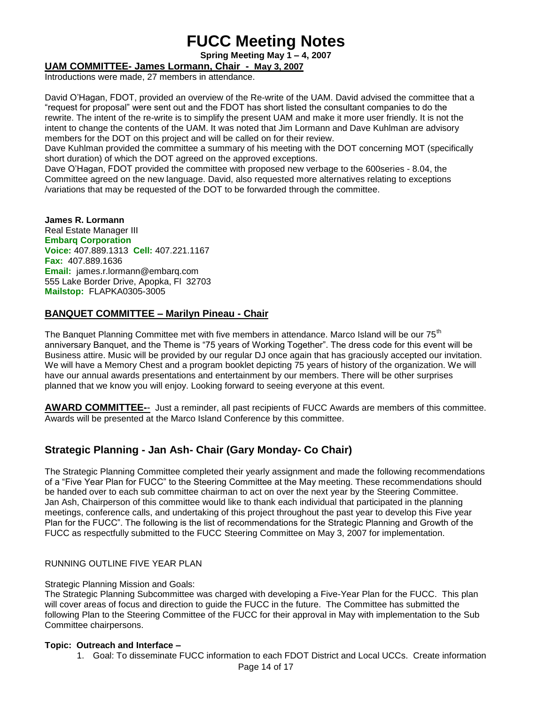**Spring Meeting May 1 – 4, 2007**

**UAM COMMITTEE- James Lormann, Chair - May 3, 2007**

Introductions were made, 27 members in attendance.

David O'Hagan, FDOT, provided an overview of the Re-write of the UAM. David advised the committee that a "request for proposal" were sent out and the FDOT has short listed the consultant companies to do the rewrite. The intent of the re-write is to simplify the present UAM and make it more user friendly. It is not the intent to change the contents of the UAM. It was noted that Jim Lormann and Dave Kuhlman are advisory members for the DOT on this project and will be called on for their review.

Dave Kuhlman provided the committee a summary of his meeting with the DOT concerning MOT (specifically short duration) of which the DOT agreed on the approved exceptions.

Dave O'Hagan, FDOT provided the committee with proposed new verbage to the 600series - 8.04, the Committee agreed on the new language. David, also requested more alternatives relating to exceptions /variations that may be requested of the DOT to be forwarded through the committee.

**James R. Lormann** Real Estate Manager III **Embarq Corporation Voice:** 407.889.1313 **Cell:** 407.221.1167 **Fax:** 407.889.1636 **Email:** [james.r.lormann@embarq.com](mailto:james.r.lormann@embarq.com) 555 Lake Border Drive, Apopka, Fl 32703 **Mailstop:** FLAPKA0305-3005

### **BANQUET COMMITTEE – Marilyn Pineau - Chair**

The Banquet Planning Committee met with five members in attendance. Marco Island will be our 75<sup>th</sup> anniversary Banquet, and the Theme is "75 years of Working Together". The dress code for this event will be Business attire. Music will be provided by our regular DJ once again that has graciously accepted our invitation. We will have a Memory Chest and a program booklet depicting 75 years of history of the organization. We will have our annual awards presentations and entertainment by our members. There will be other surprises planned that we know you will enjoy. Looking forward to seeing everyone at this event.

**AWARD COMMITTEE-**- Just a reminder, all past recipients of FUCC Awards are members of this committee. Awards will be presented at the Marco Island Conference by this committee.

### **Strategic Planning - Jan Ash- Chair (Gary Monday- Co Chair)**

The Strategic Planning Committee completed their yearly assignment and made the following recommendations of a "Five Year Plan for FUCC" to the Steering Committee at the May meeting. These recommendations should be handed over to each sub committee chairman to act on over the next year by the Steering Committee. Jan Ash, Chairperson of this committee would like to thank each individual that participated in the planning meetings, conference calls, and undertaking of this project throughout the past year to develop this Five year Plan for the FUCC". The following is the list of recommendations for the Strategic Planning and Growth of the FUCC as respectfully submitted to the FUCC Steering Committee on May 3, 2007 for implementation.

#### RUNNING OUTLINE FIVE YEAR PLAN

#### Strategic Planning Mission and Goals:

The Strategic Planning Subcommittee was charged with developing a Five-Year Plan for the FUCC. This plan will cover areas of focus and direction to guide the FUCC in the future. The Committee has submitted the following Plan to the Steering Committee of the FUCC for their approval in May with implementation to the Sub Committee chairpersons.

#### **Topic: Outreach and Interface –**

1. Goal: To disseminate FUCC information to each FDOT District and Local UCCs. Create information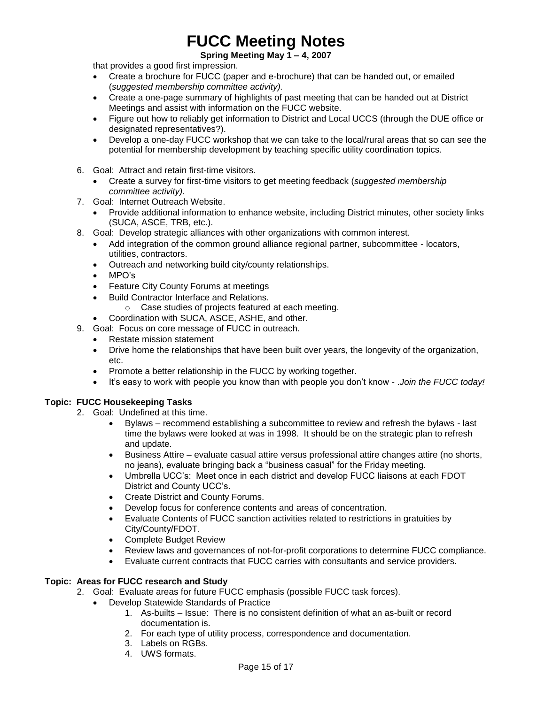#### **Spring Meeting May 1 – 4, 2007**

that provides a good first impression.

- Create a brochure for FUCC (paper and e-brochure) that can be handed out, or emailed (*suggested membership committee activity).*
- Create a one-page summary of highlights of past meeting that can be handed out at District Meetings and assist with information on the FUCC website.
- Figure out how to reliably get information to District and Local UCCS (through the DUE office or designated representatives?).
- Develop a one-day FUCC workshop that we can take to the local/rural areas that so can see the potential for membership development by teaching specific utility coordination topics.
- 6. Goal: Attract and retain first-time visitors.
	- Create a survey for first-time visitors to get meeting feedback (*suggested membership committee activity).*
- 7. Goal: Internet Outreach Website.
	- Provide additional information to enhance website, including District minutes, other society links (SUCA, ASCE, TRB, etc.).
- 8. Goal: Develop strategic alliances with other organizations with common interest.
	- Add integration of the common ground alliance regional partner, subcommittee locators, utilities, contractors.
	- Outreach and networking build city/county relationships.
	- MPO's
	- Feature City County Forums at meetings
	- Build Contractor Interface and Relations.
		- o Case studies of projects featured at each meeting.
	- Coordination with SUCA, ASCE, ASHE, and other.
- 9. Goal: Focus on core message of FUCC in outreach.
	- Restate mission statement
	- Drive home the relationships that have been built over years, the longevity of the organization, etc.
	- Promote a better relationship in the FUCC by working together.
	- It's easy to work with people you know than with people you don't know .*Join the FUCC today!*

#### **Topic: FUCC Housekeeping Tasks**

- 2. Goal: Undefined at this time.
	- Bylaws recommend establishing a subcommittee to review and refresh the bylaws last time the bylaws were looked at was in 1998. It should be on the strategic plan to refresh and update.
	- Business Attire evaluate casual attire versus professional attire changes attire (no shorts, no jeans), evaluate bringing back a "business casual" for the Friday meeting.
	- Umbrella UCC's: Meet once in each district and develop FUCC liaisons at each FDOT District and County UCC's.
	- Create District and County Forums.
	- Develop focus for conference contents and areas of concentration.
	- Evaluate Contents of FUCC sanction activities related to restrictions in gratuities by City/County/FDOT.
	- Complete Budget Review
	- Review laws and governances of not-for-profit corporations to determine FUCC compliance.
	- Evaluate current contracts that FUCC carries with consultants and service providers.

#### **Topic: Areas for FUCC research and Study**

- 2. Goal: Evaluate areas for future FUCC emphasis (possible FUCC task forces).
	- Develop Statewide Standards of Practice
		- 1. As-builts Issue: There is no consistent definition of what an as-built or record documentation is.
		- 2. For each type of utility process, correspondence and documentation.
		- 3. Labels on RGBs.
		- 4. UWS formats.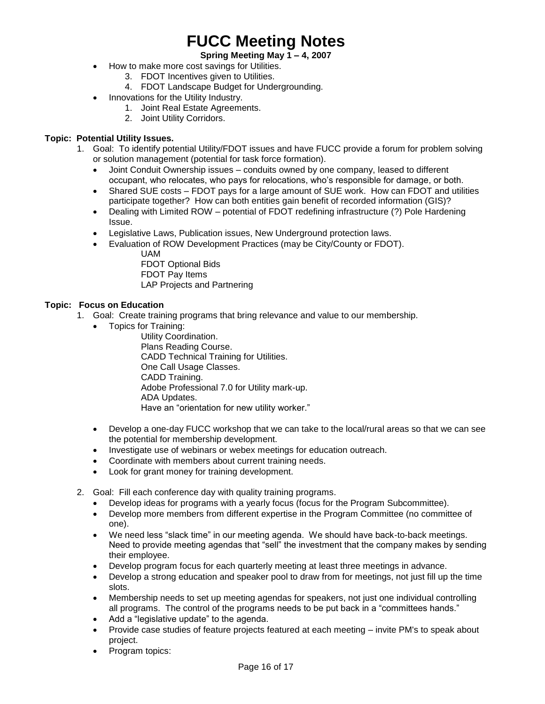#### **Spring Meeting May 1 – 4, 2007**

- How to make more cost savings for Utilities.
	- 3. FDOT Incentives given to Utilities.
	- 4. FDOT Landscape Budget for Undergrounding.
	- Innovations for the Utility Industry.
		- 1. Joint Real Estate Agreements.
		- 2. Joint Utility Corridors.

#### **Topic: Potential Utility Issues.**

- 1. Goal: To identify potential Utility/FDOT issues and have FUCC provide a forum for problem solving or solution management (potential for task force formation).
	- Joint Conduit Ownership issues conduits owned by one company, leased to different occupant, who relocates, who pays for relocations, who's responsible for damage, or both.
	- Shared SUE costs FDOT pays for a large amount of SUE work. How can FDOT and utilities participate together? How can both entities gain benefit of recorded information (GIS)?
	- Dealing with Limited ROW potential of FDOT redefining infrastructure (?) Pole Hardening Issue.
	- Legislative Laws, Publication issues, New Underground protection laws.
	- Evaluation of ROW Development Practices (may be City/County or FDOT). UAM

FDOT Optional Bids FDOT Pay Items LAP Projects and Partnering

#### **Topic: Focus on Education**

- 1. Goal: Create training programs that bring relevance and value to our membership.
	- Topics for Training:

Utility Coordination. Plans Reading Course. CADD Technical Training for Utilities. One Call Usage Classes. CADD Training. Adobe Professional 7.0 for Utility mark-up. ADA Updates. Have an "orientation for new utility worker."

- Develop a one-day FUCC workshop that we can take to the local/rural areas so that we can see the potential for membership development.
- Investigate use of webinars or webex meetings for education outreach.
- Coordinate with members about current training needs.
- Look for grant money for training development.

2. Goal: Fill each conference day with quality training programs.

- Develop ideas for programs with a yearly focus (focus for the Program Subcommittee).
- Develop more members from different expertise in the Program Committee (no committee of one).
- We need less "slack time" in our meeting agenda. We should have back-to-back meetings. Need to provide meeting agendas that "sell" the investment that the company makes by sending their employee.
- Develop program focus for each quarterly meeting at least three meetings in advance.
- Develop a strong education and speaker pool to draw from for meetings, not just fill up the time slots.
- Membership needs to set up meeting agendas for speakers, not just one individual controlling all programs. The control of the programs needs to be put back in a "committees hands."
- Add a "legislative update" to the agenda.
- Provide case studies of feature projects featured at each meeting invite PM's to speak about project.
- Program topics: